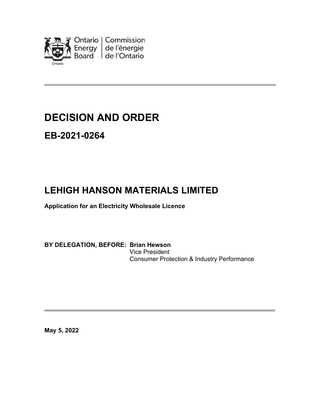

# **DECISION AND ORDER**

### **EB-2021-0264**

## **LEHIGH HANSON MATERIALS LIMITED**

**Application for an Electricity Wholesale Licence**

**BY DELEGATION, BEFORE: Brian Hewson** Vice President Consumer Protection & Industry Performance

**May 5, 2022**